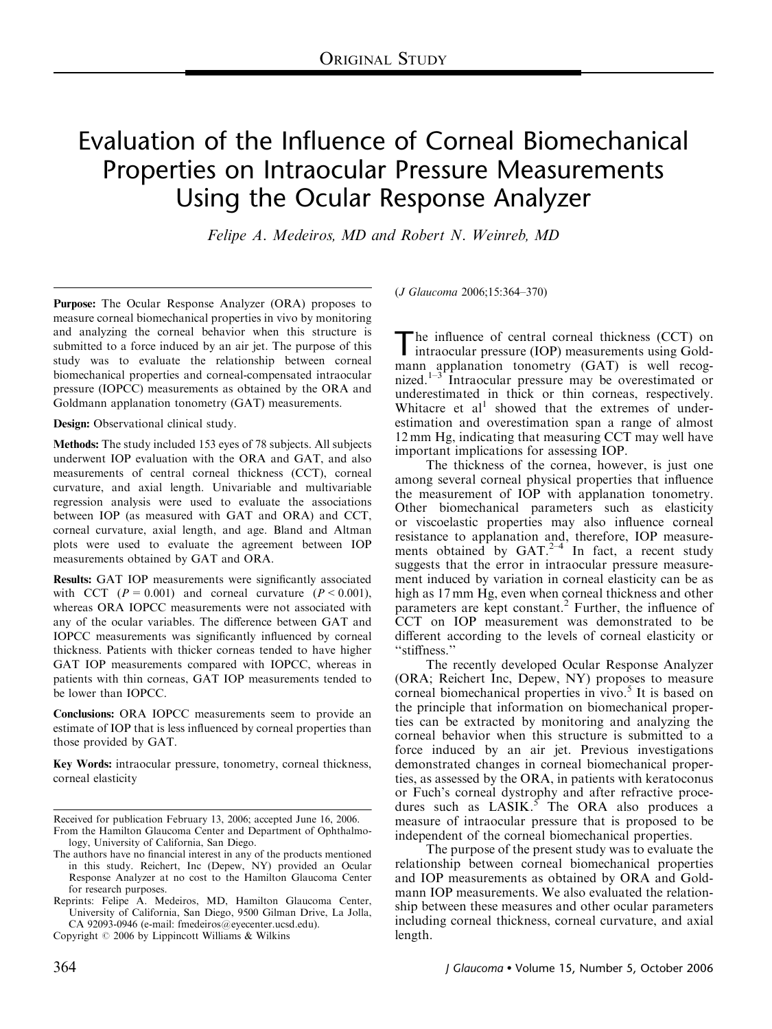# Evaluation of the Influence of Corneal Biomechanical Properties on Intraocular Pressure Measurements Using the Ocular Response Analyzer

Felipe A. Medeiros, MD and Robert N. Weinreb, MD

Purpose: The Ocular Response Analyzer (ORA) proposes to measure corneal biomechanical properties in vivo by monitoring and analyzing the corneal behavior when this structure is submitted to a force induced by an air jet. The purpose of this study was to evaluate the relationship between corneal biomechanical properties and corneal-compensated intraocular pressure (IOPCC) measurements as obtained by the ORA and Goldmann applanation tonometry (GAT) measurements.

Design: Observational clinical study.

Methods: The study included 153 eyes of 78 subjects. All subjects underwent IOP evaluation with the ORA and GAT, and also measurements of central corneal thickness (CCT), corneal curvature, and axial length. Univariable and multivariable regression analysis were used to evaluate the associations between IOP (as measured with GAT and ORA) and CCT, corneal curvature, axial length, and age. Bland and Altman plots were used to evaluate the agreement between IOP measurements obtained by GAT and ORA.

Results: GAT IOP measurements were significantly associated with CCT  $(P = 0.001)$  and corneal curvature  $(P < 0.001)$ , whereas ORA IOPCC measurements were not associated with any of the ocular variables. The difference between GAT and IOPCC measurements was significantly influenced by corneal thickness. Patients with thicker corneas tended to have higher GAT IOP measurements compared with IOPCC, whereas in patients with thin corneas, GAT IOP measurements tended to be lower than IOPCC.

Conclusions: ORA IOPCC measurements seem to provide an estimate of IOP that is less influenced by corneal properties than those provided by GAT.

Key Words: intraocular pressure, tonometry, corneal thickness, corneal elasticity

Copyright © 2006 by Lippincott Williams & Wilkins length.

(J Glaucoma 2006;15:364–370)

The influence of central corneal thickness (CCT) on<br>intraocular pressure (IOP) measurements using Goldmann applanation tonometry (GAT) is well recognized.<sup>1–3</sup> Intraocular pressure may be overestimated or underestimated in thick or thin corneas, respectively. Whitacre et  $al<sup>1</sup>$  showed that the extremes of underestimation and overestimation span a range of almost 12 mm Hg, indicating that measuring CCT may well have important implications for assessing IOP.

The thickness of the cornea, however, is just one among several corneal physical properties that influence the measurement of IOP with applanation tonometry. Other biomechanical parameters such as elasticity or viscoelastic properties may also influence corneal resistance to applanation and, therefore, IOP measurements obtained by  $GAT<sup>2-4</sup>$  In fact, a recent study suggests that the error in intraocular pressure measurement induced by variation in corneal elasticity can be as high as 17 mm Hg, even when corneal thickness and other parameters are kept constant.<sup>2</sup> Further, the influence of CCT on IOP measurement was demonstrated to be different according to the levels of corneal elasticity or ''stiffness.''

The recently developed Ocular Response Analyzer (ORA; Reichert Inc, Depew, NY) proposes to measure corneal biomechanical properties in vivo.<sup>5</sup> It is based on the principle that information on biomechanical properties can be extracted by monitoring and analyzing the corneal behavior when this structure is submitted to a force induced by an air jet. Previous investigations demonstrated changes in corneal biomechanical properties, as assessed by the ORA, in patients with keratoconus or Fuch's corneal dystrophy and after refractive procedures such as  $LASIK$ .<sup>5</sup> The ORA also produces a measure of intraocular pressure that is proposed to be independent of the corneal biomechanical properties.

The purpose of the present study was to evaluate the relationship between corneal biomechanical properties and IOP measurements as obtained by ORA and Goldmann IOP measurements. We also evaluated the relationship between these measures and other ocular parameters including corneal thickness, corneal curvature, and axial

Received for publication February 13, 2006; accepted June 16, 2006. From the Hamilton Glaucoma Center and Department of Ophthalmology, University of California, San Diego.

The authors have no financial interest in any of the products mentioned in this study. Reichert, Inc (Depew, NY) provided an Ocular Response Analyzer at no cost to the Hamilton Glaucoma Center for research purposes.

Reprints: Felipe A. Medeiros, MD, Hamilton Glaucoma Center, University of California, San Diego, 9500 Gilman Drive, La Jolla, CA 92093-0946 (e-mail: fmedeiros@eyecenter.ucsd.edu).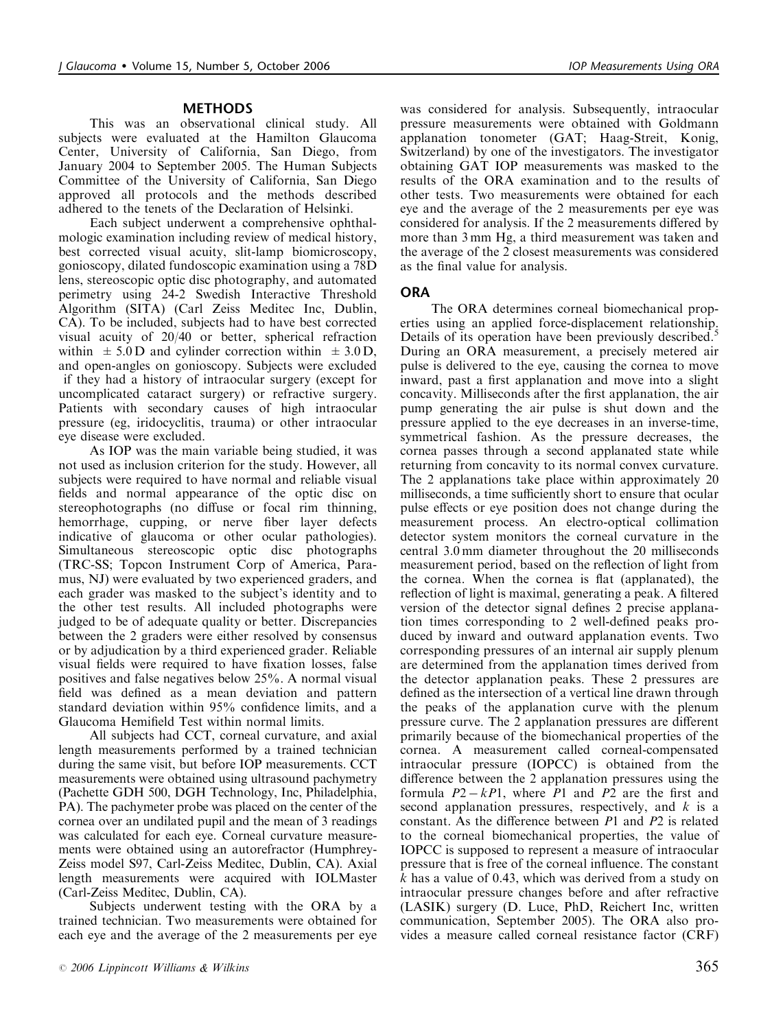## METHODS

This was an observational clinical study. All subjects were evaluated at the Hamilton Glaucoma Center, University of California, San Diego, from January 2004 to September 2005. The Human Subjects Committee of the University of California, San Diego approved all protocols and the methods described adhered to the tenets of the Declaration of Helsinki.

Each subject underwent a comprehensive ophthalmologic examination including review of medical history, best corrected visual acuity, slit-lamp biomicroscopy, gonioscopy, dilated fundoscopic examination using a 78D lens, stereoscopic optic disc photography, and automated perimetry using 24-2 Swedish Interactive Threshold Algorithm (SITA) (Carl Zeiss Meditec Inc, Dublin, CA). To be included, subjects had to have best corrected visual acuity of 20/40 or better, spherical refraction within  $\pm$  5.0 D and cylinder correction within  $\pm$  3.0 D, and open-angles on gonioscopy. Subjects were excluded if they had a history of intraocular surgery (except for uncomplicated cataract surgery) or refractive surgery. Patients with secondary causes of high intraocular pressure (eg, iridocyclitis, trauma) or other intraocular eye disease were excluded.

As IOP was the main variable being studied, it was not used as inclusion criterion for the study. However, all subjects were required to have normal and reliable visual fields and normal appearance of the optic disc on stereophotographs (no diffuse or focal rim thinning, hemorrhage, cupping, or nerve fiber layer defects indicative of glaucoma or other ocular pathologies). Simultaneous stereoscopic optic disc photographs (TRC-SS; Topcon Instrument Corp of America, Paramus, NJ) were evaluated by two experienced graders, and each grader was masked to the subject's identity and to the other test results. All included photographs were judged to be of adequate quality or better. Discrepancies between the 2 graders were either resolved by consensus or by adjudication by a third experienced grader. Reliable visual fields were required to have fixation losses, false positives and false negatives below 25%. A normal visual field was defined as a mean deviation and pattern standard deviation within 95% confidence limits, and a Glaucoma Hemifield Test within normal limits.

All subjects had CCT, corneal curvature, and axial length measurements performed by a trained technician during the same visit, but before IOP measurements. CCT measurements were obtained using ultrasound pachymetry (Pachette GDH 500, DGH Technology, Inc, Philadelphia, PA). The pachymeter probe was placed on the center of the cornea over an undilated pupil and the mean of 3 readings was calculated for each eye. Corneal curvature measurements were obtained using an autorefractor (Humphrey-Zeiss model S97, Carl-Zeiss Meditec, Dublin, CA). Axial length measurements were acquired with IOLMaster (Carl-Zeiss Meditec, Dublin, CA).

Subjects underwent testing with the ORA by a trained technician. Two measurements were obtained for each eye and the average of the 2 measurements per eye was considered for analysis. Subsequently, intraocular pressure measurements were obtained with Goldmann applanation tonometer (GAT; Haag-Streit, Konig, Switzerland) by one of the investigators. The investigator obtaining GAT IOP measurements was masked to the results of the ORA examination and to the results of other tests. Two measurements were obtained for each eye and the average of the 2 measurements per eye was considered for analysis. If the 2 measurements differed by more than 3 mm Hg, a third measurement was taken and the average of the 2 closest measurements was considered as the final value for analysis.

# **ORA**

The ORA determines corneal biomechanical properties using an applied force-displacement relationship. Details of its operation have been previously described.<sup>5</sup> During an ORA measurement, a precisely metered air pulse is delivered to the eye, causing the cornea to move inward, past a first applanation and move into a slight concavity. Milliseconds after the first applanation, the air pump generating the air pulse is shut down and the pressure applied to the eye decreases in an inverse-time, symmetrical fashion. As the pressure decreases, the cornea passes through a second applanated state while returning from concavity to its normal convex curvature. The 2 applanations take place within approximately 20 milliseconds, a time sufficiently short to ensure that ocular pulse effects or eye position does not change during the measurement process. An electro-optical collimation detector system monitors the corneal curvature in the central 3.0 mm diameter throughout the 20 milliseconds measurement period, based on the reflection of light from the cornea. When the cornea is flat (applanated), the reflection of light is maximal, generating a peak. A filtered version of the detector signal defines 2 precise applanation times corresponding to 2 well-defined peaks produced by inward and outward applanation events. Two corresponding pressures of an internal air supply plenum are determined from the applanation times derived from the detector applanation peaks. These 2 pressures are defined as the intersection of a vertical line drawn through the peaks of the applanation curve with the plenum pressure curve. The 2 applanation pressures are different primarily because of the biomechanical properties of the cornea. A measurement called corneal-compensated intraocular pressure (IOPCC) is obtained from the difference between the 2 applanation pressures using the formula  $P2 - kP1$ , where P1 and P2 are the first and second applanation pressures, respectively, and  $k$  is a constant. As the difference between  $P1$  and  $P2$  is related to the corneal biomechanical properties, the value of IOPCC is supposed to represent a measure of intraocular pressure that is free of the corneal influence. The constant  $k$  has a value of 0.43, which was derived from a study on intraocular pressure changes before and after refractive (LASIK) surgery (D. Luce, PhD, Reichert Inc, written communication, September 2005). The ORA also provides a measure called corneal resistance factor (CRF)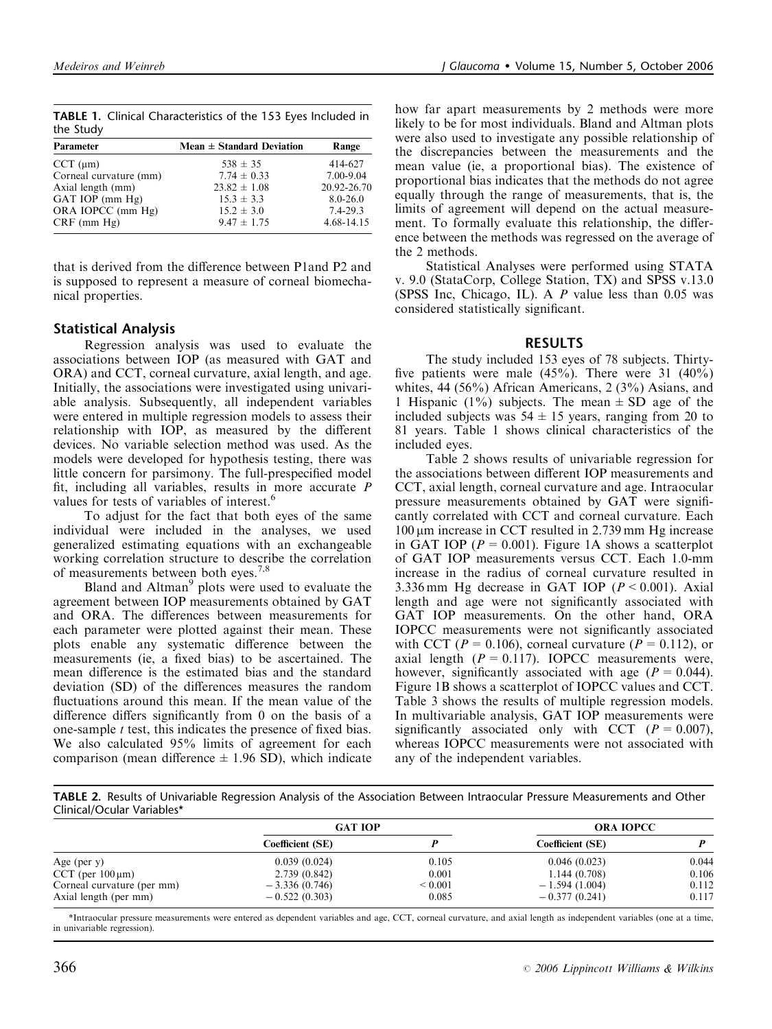TABLE 1. Clinical Characteristics of the 153 Eyes Included in the Study

| Parameter              | Mean $\pm$ Standard Deviation | Range        |  |
|------------------------|-------------------------------|--------------|--|
| $CCT$ ( $\mu$ m)       | $538 \pm 35$                  | 414-627      |  |
| Corneal curvature (mm) | $7.74 \pm 0.33$               | 7.00-9.04    |  |
| Axial length (mm)      | $23.82 \pm 1.08$              | 20.92-26.70  |  |
| GAT IOP (mm Hg)        | $15.3 \pm 3.3$                | $8.0 - 26.0$ |  |
| ORA IOPCC (mm Hg)      | $15.2 \pm 3.0$                | $7.4 - 29.3$ |  |
| $CRF$ (mm $Hg$ )       | $9.47 \pm 1.75$               | 4.68-14.15   |  |

that is derived from the difference between P1and P2 and is supposed to represent a measure of corneal biomechanical properties.

# Statistical Analysis

Regression analysis was used to evaluate the associations between IOP (as measured with GAT and ORA) and CCT, corneal curvature, axial length, and age. Initially, the associations were investigated using univariable analysis. Subsequently, all independent variables were entered in multiple regression models to assess their relationship with IOP, as measured by the different devices. No variable selection method was used. As the models were developed for hypothesis testing, there was little concern for parsimony. The full-prespecified model fit, including all variables, results in more accurate P values for tests of variables of interest.<sup>6</sup>

To adjust for the fact that both eyes of the same individual were included in the analyses, we used generalized estimating equations with an exchangeable working correlation structure to describe the correlation of measurements between both eyes.<sup>7,8</sup>

Bland and Altman<sup>9</sup> plots were used to evaluate the agreement between IOP measurements obtained by GAT and ORA. The differences between measurements for each parameter were plotted against their mean. These plots enable any systematic difference between the measurements (ie, a fixed bias) to be ascertained. The mean difference is the estimated bias and the standard deviation (SD) of the differences measures the random fluctuations around this mean. If the mean value of the difference differs significantly from 0 on the basis of a one-sample t test, this indicates the presence of fixed bias. We also calculated 95% limits of agreement for each comparison (mean difference  $\pm$  1.96 SD), which indicate

how far apart measurements by 2 methods were more likely to be for most individuals. Bland and Altman plots were also used to investigate any possible relationship of the discrepancies between the measurements and the mean value (ie, a proportional bias). The existence of proportional bias indicates that the methods do not agree equally through the range of measurements, that is, the limits of agreement will depend on the actual measurement. To formally evaluate this relationship, the difference between the methods was regressed on the average of the 2 methods.

Statistical Analyses were performed using STATA v. 9.0 (StataCorp, College Station, TX) and SPSS v.13.0 (SPSS Inc, Chicago, IL). A P value less than 0.05 was considered statistically significant.

## RESULTS

The study included 153 eyes of 78 subjects. Thirtyfive patients were male  $(45\%)$ . There were 31  $(40\%)$ whites, 44 (56%) African Americans, 2 (3%) Asians, and 1 Hispanic (1%) subjects. The mean  $\pm$  SD age of the included subjects was  $54 \pm 15$  years, ranging from 20 to 81 years. Table 1 shows clinical characteristics of the included eyes.

Table 2 shows results of univariable regression for the associations between different IOP measurements and CCT, axial length, corneal curvature and age. Intraocular pressure measurements obtained by GAT were significantly correlated with CCT and corneal curvature. Each  $100 \,\mu m$  increase in CCT resulted in 2.739 mm Hg increase in GAT IOP ( $P = 0.001$ ). Figure 1A shows a scatterplot of GAT IOP measurements versus CCT. Each 1.0-mm increase in the radius of corneal curvature resulted in 3.336 mm Hg decrease in GAT IOP ( $P < 0.001$ ). Axial length and age were not significantly associated with GAT IOP measurements. On the other hand, ORA IOPCC measurements were not significantly associated with CCT ( $P = 0.106$ ), corneal curvature ( $P = 0.112$ ), or axial length ( $P = 0.117$ ). IOPCC measurements were, however, significantly associated with age ( $P = 0.044$ ). Figure 1B shows a scatterplot of IOPCC values and CCT. Table 3 shows the results of multiple regression models. In multivariable analysis, GAT IOP measurements were significantly associated only with CCT ( $P = 0.007$ ), whereas IOPCC measurements were not associated with any of the independent variables.

TABLE 2. Results of Univariable Regression Analysis of the Association Between Intraocular Pressure Measurements and Other Clinical/Ocular Variables\*

|                            | <b>GAT IOP</b>   |              | <b>ORA IOPCC</b> |       |
|----------------------------|------------------|--------------|------------------|-------|
|                            | Coefficient (SE) |              | Coefficient (SE) |       |
| Age (per $y$ )             | 0.039(0.024)     | 0.105        | 0.046(0.023)     | 0.044 |
| CCT (per $100 \mu m$ )     | 2.739(0.842)     | 0.001        | 1.144(0.708)     | 0.106 |
| Corneal curvature (per mm) | $-3.336(0.746)$  | ${}_{0.001}$ | $-1.594(1.004)$  | 0.112 |
| Axial length (per mm)      | $-0.522(0.303)$  | 0.085        | $-0.377(0.241)$  | 0.117 |

\*Intraocular pressure measurements were entered as dependent variables and age, CCT, corneal curvature, and axial length as independent variables (one at a time, in univariable regression).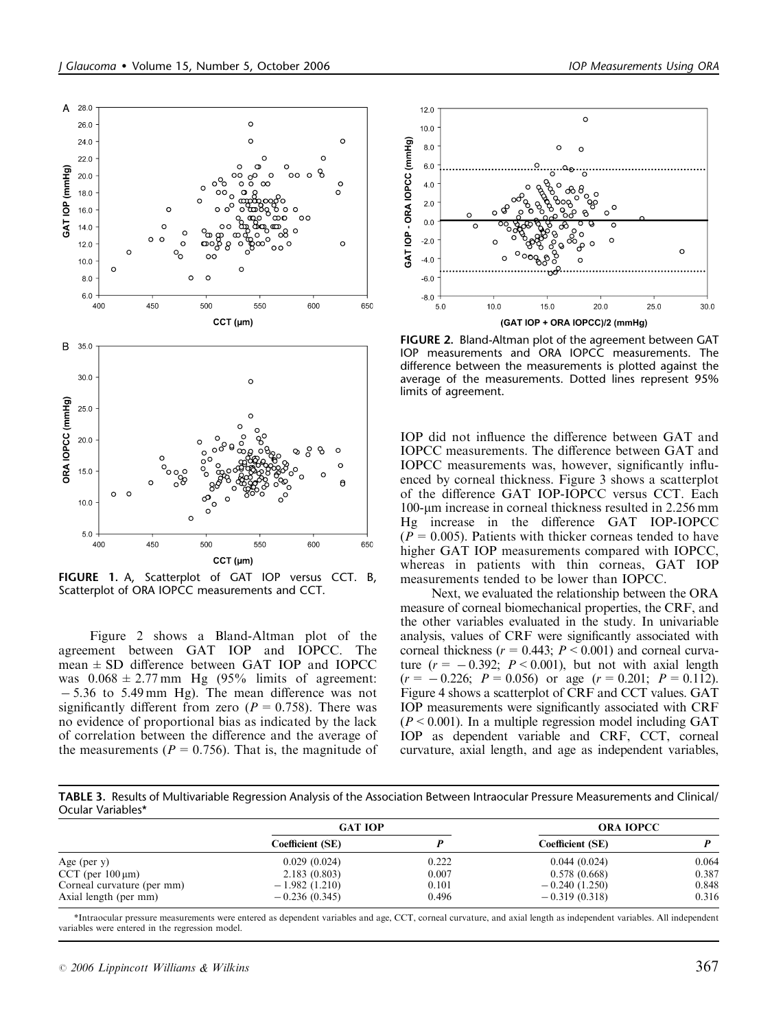

FIGURE 1. A, Scatterplot of GAT IOP versus CCT. B, Scatterplot of ORA IOPCC measurements and CCT.

Figure 2 shows a Bland-Altman plot of the agreement between GAT IOP and IOPCC. The mean  $\pm$  SD difference between GAT IOP and IOPCC was  $0.068 \pm 2.77$  mm Hg (95% limits of agreement:  $-5.36$  to 5.49 mm Hg). The mean difference was not significantly different from zero ( $P = 0.758$ ). There was no evidence of proportional bias as indicated by the lack of correlation between the difference and the average of the measurements ( $P = 0.756$ ). That is, the magnitude of



FIGURE 2. Bland-Altman plot of the agreement between GAT IOP measurements and ORA IOPCC measurements. The difference between the measurements is plotted against the average of the measurements. Dotted lines represent 95% limits of agreement.

IOP did not influence the difference between GAT and IOPCC measurements. The difference between GAT and IOPCC measurements was, however, significantly influenced by corneal thickness. Figure 3 shows a scatterplot of the difference GAT IOP-IOPCC versus CCT. Each 100-μm increase in corneal thickness resulted in 2.256 mm Hg increase in the difference GAT IOP-IOPCC  $(P = 0.005)$ . Patients with thicker corneas tended to have higher GAT IOP measurements compared with IOPCC, whereas in patients with thin corneas, GAT IOP measurements tended to be lower than IOPCC.

Next, we evaluated the relationship between the ORA measure of corneal biomechanical properties, the CRF, and the other variables evaluated in the study. In univariable analysis, values of CRF were significantly associated with corneal thickness ( $r = 0.443$ ;  $P \le 0.001$ ) and corneal curvature  $(r = -0.392; P < 0.001)$ , but not with axial length  $(r = -0.226; P = 0.056)$  or age  $(r = 0.201; P = 0.112)$ . Figure 4 shows a scatterplot of CRF and CCT values. GAT IOP measurements were significantly associated with CRF  $(P < 0.001)$ . In a multiple regression model including GAT IOP as dependent variable and CRF, CCT, corneal curvature, axial length, and age as independent variables,

TABLE 3. Results of Multivariable Regression Analysis of the Association Between Intraocular Pressure Measurements and Clinical/ Ocular Variables\*

|                            | <b>GAT IOP</b>   |       | <b>ORA IOPCC</b> |       |
|----------------------------|------------------|-------|------------------|-------|
|                            | Coefficient (SE) |       | Coefficient (SE) |       |
| Age (per $y$ )             | 0.029(0.024)     | 0.222 | 0.044(0.024)     | 0.064 |
| $CCT$ (per $100 \mu m$ )   | 2.183(0.803)     | 0.007 | 0.578(0.668)     | 0.387 |
| Corneal curvature (per mm) | $-1.982(1.210)$  | 0.101 | $-0.240(1.250)$  | 0.848 |
| Axial length (per mm)      | $-0.236(0.345)$  | 0.496 | $-0.319(0.318)$  | 0.316 |

\*Intraocular pressure measurements were entered as dependent variables and age, CCT, corneal curvature, and axial length as independent variables. All independent variables were entered in the regression model.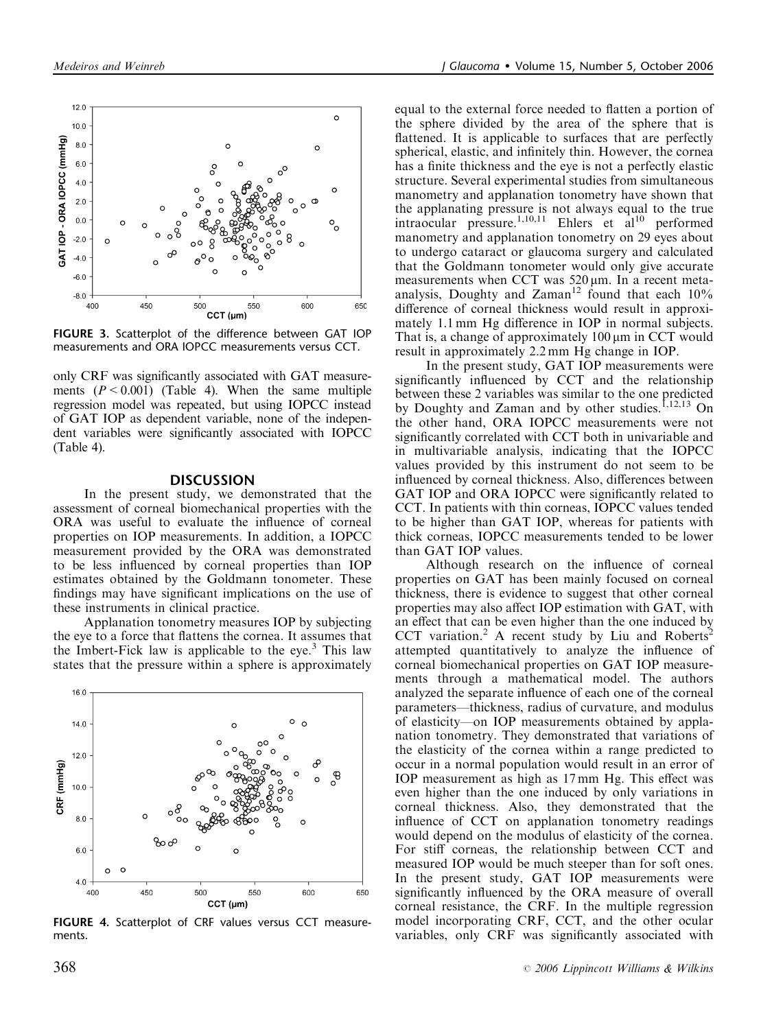

FIGURE 3. Scatterplot of the difference between GAT IOP measurements and ORA IOPCC measurements versus CCT.

only CRF was significantly associated with GAT measurements  $(P < 0.001)$  (Table 4). When the same multiple regression model was repeated, but using IOPCC instead of GAT IOP as dependent variable, none of the independent variables were significantly associated with IOPCC (Table 4).

### **DISCUSSION**

In the present study, we demonstrated that the assessment of corneal biomechanical properties with the ORA was useful to evaluate the influence of corneal properties on IOP measurements. In addition, a IOPCC measurement provided by the ORA was demonstrated to be less influenced by corneal properties than IOP estimates obtained by the Goldmann tonometer. These findings may have significant implications on the use of these instruments in clinical practice.

Applanation tonometry measures IOP by subjecting the eye to a force that flattens the cornea. It assumes that the Imbert-Fick law is applicable to the eye.<sup>3</sup> This law states that the pressure within a sphere is approximately



FIGURE 4. Scatterplot of CRF values versus CCT measurements.

equal to the external force needed to flatten a portion of the sphere divided by the area of the sphere that is flattened. It is applicable to surfaces that are perfectly spherical, elastic, and infinitely thin. However, the cornea has a finite thickness and the eye is not a perfectly elastic structure. Several experimental studies from simultaneous manometry and applanation tonometry have shown that the applanating pressure is not always equal to the true intraocular pressure.<sup>1,10,11</sup> Ehlers et  $a^{10}$  performed manometry and applanation tonometry on 29 eyes about to undergo cataract or glaucoma surgery and calculated that the Goldmann tonometer would only give accurate measurements when CCT was  $520 \,\mu m$ . In a recent metaanalysis, Doughty and  $Zaman^{12}$  found that each  $10\%$ difference of corneal thickness would result in approximately 1.1 mm Hg difference in IOP in normal subjects. That is, a change of approximately  $100 \mu m$  in CCT would result in approximately 2.2 mm Hg change in IOP.

In the present study, GAT IOP measurements were significantly influenced by CCT and the relationship between these 2 variables was similar to the one predicted by Doughty and Zaman and by other studies.<sup>1,12,13</sup> On the other hand, ORA IOPCC measurements were not significantly correlated with CCT both in univariable and in multivariable analysis, indicating that the IOPCC values provided by this instrument do not seem to be influenced by corneal thickness. Also, differences between GAT IOP and ORA IOPCC were significantly related to CCT. In patients with thin corneas, IOPCC values tended to be higher than GAT IOP, whereas for patients with thick corneas, IOPCC measurements tended to be lower than GAT IOP values.

Although research on the influence of corneal properties on GAT has been mainly focused on corneal thickness, there is evidence to suggest that other corneal properties may also affect IOP estimation with GAT, with an effect that can be even higher than the one induced by CCT variation.<sup>2</sup> A recent study by Liu and Roberts<sup>2</sup> attempted quantitatively to analyze the influence of corneal biomechanical properties on GAT IOP measurements through a mathematical model. The authors analyzed the separate influence of each one of the corneal parameters—thickness, radius of curvature, and modulus of elasticity—on IOP measurements obtained by applanation tonometry. They demonstrated that variations of the elasticity of the cornea within a range predicted to occur in a normal population would result in an error of IOP measurement as high as 17 mm Hg. This effect was even higher than the one induced by only variations in corneal thickness. Also, they demonstrated that the influence of CCT on applanation tonometry readings would depend on the modulus of elasticity of the cornea. For stiff corneas, the relationship between CCT and measured IOP would be much steeper than for soft ones. In the present study, GAT IOP measurements were significantly influenced by the ORA measure of overall corneal resistance, the CRF. In the multiple regression model incorporating CRF, CCT, and the other ocular variables, only CRF was significantly associated with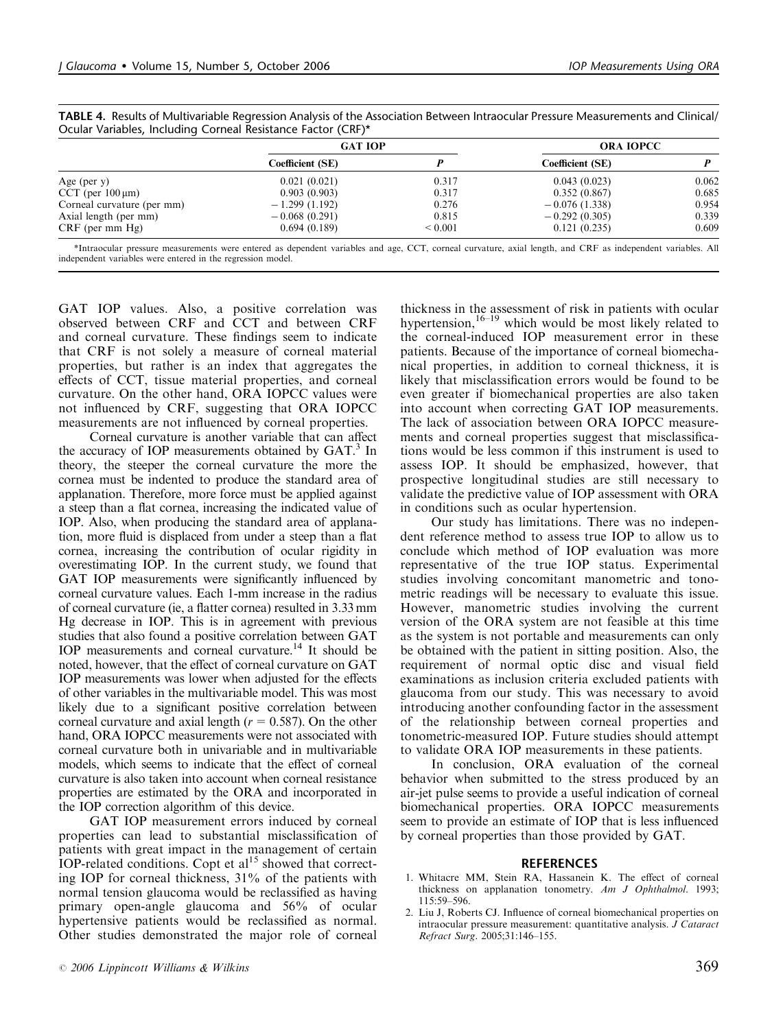|                            | <b>GAT IOP</b>   |                   | <b>ORA IOPCC</b> |       |
|----------------------------|------------------|-------------------|------------------|-------|
|                            | Coefficient (SE) |                   | Coefficient (SE) |       |
| Age (per $y$ )             | 0.021(0.021)     | 0.317             | 0.043(0.023)     | 0.062 |
| CCT (per $100 \mu m$ )     | 0.903(0.903)     | 0.317             | 0.352(0.867)     | 0.685 |
| Corneal curvature (per mm) | $-1.299(1.192)$  | 0.276             | $-0.076(1.338)$  | 0.954 |
| Axial length (per mm)      | $-0.068(0.291)$  | 0.815             | $-0.292(0.305)$  | 0.339 |
| $CRF$ (per mm $Hg$ )       | 0.694(0.189)     | ${}_{\leq 0.001}$ | 0.121(0.235)     | 0.609 |

TABLE 4. Results of Multivariable Regression Analysis of the Association Between Intraocular Pressure Measurements and Clinical/  $\text{C}$ 

\*Intraocular pressure measurements were entered as dependent variables and age, CCT, corneal curvature, axial length, and CRF as independent variables. All independent variables were entered in the regression model.

GAT IOP values. Also, a positive correlation was observed between CRF and CCT and between CRF and corneal curvature. These findings seem to indicate that CRF is not solely a measure of corneal material properties, but rather is an index that aggregates the effects of CCT, tissue material properties, and corneal curvature. On the other hand, ORA IOPCC values were not influenced by CRF, suggesting that ORA IOPCC measurements are not influenced by corneal properties.

Corneal curvature is another variable that can affect the accuracy of IOP measurements obtained by  $GAT<sup>3</sup>$  In theory, the steeper the corneal curvature the more the cornea must be indented to produce the standard area of applanation. Therefore, more force must be applied against a steep than a flat cornea, increasing the indicated value of IOP. Also, when producing the standard area of applanation, more fluid is displaced from under a steep than a flat cornea, increasing the contribution of ocular rigidity in overestimating IOP. In the current study, we found that GAT IOP measurements were significantly influenced by corneal curvature values. Each 1-mm increase in the radius of corneal curvature (ie, a flatter cornea) resulted in 3.33 mm Hg decrease in IOP. This is in agreement with previous studies that also found a positive correlation between GAT IOP measurements and corneal curvature.<sup>14</sup> It should be noted, however, that the effect of corneal curvature on GAT IOP measurements was lower when adjusted for the effects of other variables in the multivariable model. This was most likely due to a significant positive correlation between corneal curvature and axial length ( $r = 0.587$ ). On the other hand, ORA IOPCC measurements were not associated with corneal curvature both in univariable and in multivariable models, which seems to indicate that the effect of corneal curvature is also taken into account when corneal resistance properties are estimated by the ORA and incorporated in the IOP correction algorithm of this device.

GAT IOP measurement errors induced by corneal properties can lead to substantial misclassification of patients with great impact in the management of certain IOP-related conditions. Copt et  $al<sup>15</sup>$  showed that correcting IOP for corneal thickness, 31% of the patients with normal tension glaucoma would be reclassified as having primary open-angle glaucoma and 56% of ocular hypertensive patients would be reclassified as normal. Other studies demonstrated the major role of corneal

 $\degree$  2006 Lippincott Williams & Wilkins 369

thickness in the assessment of risk in patients with ocular hypertension, $16-19$  which would be most likely related to the corneal-induced IOP measurement error in these patients. Because of the importance of corneal biomechanical properties, in addition to corneal thickness, it is likely that misclassification errors would be found to be even greater if biomechanical properties are also taken into account when correcting GAT IOP measurements. The lack of association between ORA IOPCC measurements and corneal properties suggest that misclassifications would be less common if this instrument is used to assess IOP. It should be emphasized, however, that prospective longitudinal studies are still necessary to validate the predictive value of IOP assessment with ORA in conditions such as ocular hypertension.

Our study has limitations. There was no independent reference method to assess true IOP to allow us to conclude which method of IOP evaluation was more representative of the true IOP status. Experimental studies involving concomitant manometric and tonometric readings will be necessary to evaluate this issue. However, manometric studies involving the current version of the ORA system are not feasible at this time as the system is not portable and measurements can only be obtained with the patient in sitting position. Also, the requirement of normal optic disc and visual field examinations as inclusion criteria excluded patients with glaucoma from our study. This was necessary to avoid introducing another confounding factor in the assessment of the relationship between corneal properties and tonometric-measured IOP. Future studies should attempt to validate ORA IOP measurements in these patients.

In conclusion, ORA evaluation of the corneal behavior when submitted to the stress produced by an air-jet pulse seems to provide a useful indication of corneal biomechanical properties. ORA IOPCC measurements seem to provide an estimate of IOP that is less influenced by corneal properties than those provided by GAT.

#### **REFERENCES**

- 1. Whitacre MM, Stein RA, Hassanein K. The effect of corneal thickness on applanation tonometry. Am J Ophthalmol. 1993; 115:59–596.
- 2. Liu J, Roberts CJ. Influence of corneal biomechanical properties on intraocular pressure measurement: quantitative analysis. J Cataract Refract Surg. 2005;31:146–155.